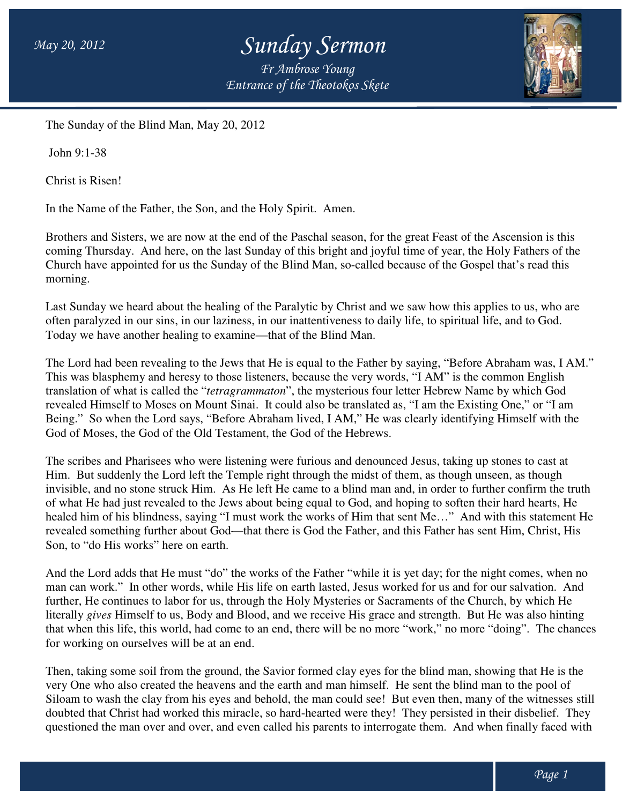## *Sunday Sermon*

*Entrance of the Theotokos Skete Fr Ambrose Young*



The Sunday of the Blind Man, May 20, 2012

John 9:1-38

Christ is Risen!

In the Name of the Father, the Son, and the Holy Spirit. Amen.

Brothers and Sisters, we are now at the end of the Paschal season, for the great Feast of the Ascension is this Brothers and Sisters, we are now at the end of the Paschal season, for the great Feast of the Ascension is this<br>coming Thursday. And here, on the last Sunday of this bright and joyful time of year, the Holy Fathers of the Church have appointed for us the Sunday of the Blind Man, so-called because of the Gospel that's read this morning.

Last Sunday we heard about the healing of the Paralytic by Christ and we saw how this applies to us, who are Church have appointed for us the Sunday of the Blind Man, so-called because of the Gospel that's read thi<br>morning.<br>Last Sunday we heard about the healing of the Paralytic by Christ and we saw how this applies to us, who<br>of Today we have another healing to examine—that of the Blind Man.

The Lord had been revealing to the Jews that He is equal to the Father by saying, "Before Abraham was, I AM." This was blasphemy and heresy to those listeners, because the very words, "I AM" is the common English This was blasphemy and heresy to those listeners, because the very words, "I AM" is the common English translation of what is called the "*tetragrammaton*", the mysterious four letter Hebrew Name by which God revealed Himself to Moses on Mount Sinai. It could also be translated as, "I am the Existing One," or "I am Being." So when the Lord says, "Before Abraham lived, I AM," He was clearly identifying Himself with the God of Moses, the God of the Old Testament, the God of the Hebrews. God of Moses, the God of the Old Testament, the God of the Hebrews.

The scribes and Pharisees who were listening were furious and denounced Jesus, taking up stones to cast at Him. But suddenly the Lord left the Temple right through the midst of them, as though unseen, as though invisible, and no stone struck Him. As He left He came to a blind man and, in order to further confirm the truth of what He had just revealed to the Jews about being equal to God, and hoping to soften their hard hearts, He healed him of his blindness, saying "I must work the works of Him that sent Me..." And with this statement He revealed something further about God—that there is God the Father, and this Father has sent Him, Christ, His Son, to "do His works" here on earth. nai. It could also be translated as, "I am the Existing One," or "I am<br>
2 Abraham lived, I AM," He was clearly identifying Himself with the<br>
ment, the God of the Hebrews.<br>
ening were furious and denounced Jesus, taking up

And the Lord adds that He must "do" the works of the Father "while it is yet day; for the night comes, when no man can work." In other words, while His life on earth lasted, Jesus worked for us and for our salvation. further, He continues to labor for us, through the Holy Mysteries or Sacraments of the Church, by which He further, He continues to labor for us, through the Holy Mysteries or Sacraments of the Church, by which He<br>literally *gives* Himself to us, Body and Blood, and we receive His grace and strength. But He was also hinting that when this life, this world, had come to an end, there will be no more "work," no more "doing". for working on ourselves will be at an end. y *gives* Himself to us, Body and Blood, and we receive His grace and strength. But He was also hintinen this life, this world, had come to an end, there will be no more "work," no more "doing". The charking on ourselves w "doing". The chances

Then, taking some soil from the ground, the Savior formed clay eyes for the blind man, showing that He is the very One who also created the heavens and the earth and man himself. Siloam to wash the clay from his eyes and behold, the man could see! But even then, many of the witnesses still Siloam to wash the clay from his eyes and behold, the man could see! But even then, many of the witnesses still<br>doubted that Christ had worked this miracle, so hard-hearted were they! They persisted in their disbelief. The questioned the man over and over, and even called his parents to interrogate them. And when finally faced with